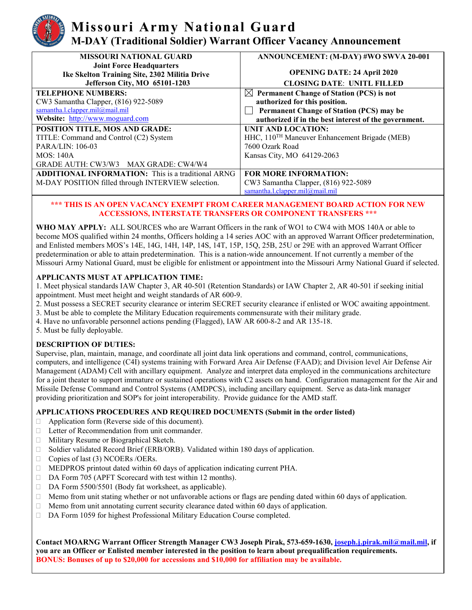# **Missouri Army National Guard M-DAY (Traditional Soldier) Warrant Officer Vacancy Announcement**

| <b>MISSOURI NATIONAL GUARD</b>                            | ANNOUNCEMENT: (M-DAY) #WO SWVA 20-001                     |
|-----------------------------------------------------------|-----------------------------------------------------------|
| <b>Joint Force Headquarters</b>                           |                                                           |
| Ike Skelton Training Site, 2302 Militia Drive             | <b>OPENING DATE: 24 April 2020</b>                        |
| Jefferson City, MO 65101-1203                             | <b>CLOSING DATE: UNITL FILLED</b>                         |
| <b>TELEPHONE NUMBERS:</b>                                 | $\boxtimes$ Permanent Change of Station (PCS) is not      |
| CW3 Samantha Clapper, (816) 922-5089                      | authorized for this position.                             |
| samantha.l.clapper.mil@mail.mil                           | <b>Permanent Change of Station (PCS) may be</b>           |
| Website: http://www.moguard.com                           | authorized if in the best interest of the government.     |
| POSITION TITLE, MOS AND GRADE:                            | UNIT AND LOCATION:                                        |
| TITLE: Command and Control (C2) System                    | HHC, 110 <sup>TH</sup> Maneuver Enhancement Brigade (MEB) |
| <b>PARA/LIN: 106-03</b>                                   | 7600 Ozark Road                                           |
| <b>MOS: 140A</b>                                          | Kansas City, MO 64129-2063                                |
| GRADE AUTH: CW3/W3 MAX GRADE: CW4/W4                      |                                                           |
| <b>ADDITIONAL INFORMATION:</b> This is a traditional ARNG | <b>FOR MORE INFORMATION:</b>                              |
| M-DAY POSITION filled through INTERVIEW selection.        | CW3 Samantha Clapper, (816) 922-5089                      |
|                                                           | samantha.l.clapper.mil@mail.mil                           |

#### **\*\*\* THIS IS AN OPEN VACANCY EXEMPT FROM CAREER MANAGEMENT BOARD ACTION FOR NEW ACCESSIONS, INTERSTATE TRANSFERS OR COMPONENT TRANSFERS \*\*\***

**WHO MAY APPLY:** ALL SOURCES who are Warrant Officers in the rank of WO1 to CW4 with MOS 140A or able to become MOS qualified within 24 months, Officers holding a 14 series AOC with an approved Warrant Officer predetermination, and Enlisted members MOS's 14E, 14G, 14H, 14P, 14S, 14T, 15P, 15Q, 25B, 25U or 29E with an approved Warrant Officer predetermination or able to attain predetermination. This is a nation-wide announcement. If not currently a member of the Missouri Army National Guard, must be eligible for enlistment or appointment into the Missouri Army National Guard if selected.

### **APPLICANTS MUST AT APPLICATION TIME:**

1. Meet physical standards IAW Chapter 3, AR 40-501 (Retention Standards) or IAW Chapter 2, AR 40-501 if seeking initial appointment. Must meet height and weight standards of AR 600-9.

- 2. Must possess a SECRET security clearance or interim SECRET security clearance if enlisted or WOC awaiting appointment.
- 3. Must be able to complete the Military Education requirements commensurate with their military grade.
- 4. Have no unfavorable personnel actions pending (Flagged), IAW AR 600-8-2 and AR 135-18.
- 5. Must be fully deployable.

### **DESCRIPTION OF DUTIES:**

Supervise, plan, maintain, manage, and coordinate all joint data link operations and command, control, communications, computers, and intelligence (C4I) systems training with Forward Area Air Defense (FAAD); and Division level Air Defense Air Management (ADAM) Cell with ancillary equipment. Analyze and interpret data employed in the communications architecture for a joint theater to support immature or sustained operations with C2 assets on hand. Configuration management for the Air and Missile Defense Command and Control Systems (AMDPCS), including ancillary equipment. Serve as data-link manager providing prioritization and SOP's for joint interoperability. Provide guidance for the AMD staff.

### **APPLICATIONS PROCEDURES AND REQUIRED DOCUMENTS (Submit in the order listed)**

- $\Box$  Application form (Reverse side of this document).
- Letter of Recommendation from unit commander.
- Military Resume or Biographical Sketch.
- □ Soldier validated Record Brief (ERB/ORB). Validated within 180 days of application.
- $\Box$  Copies of last (3) NCOERs /OERs.
- MEDPROS printout dated within 60 days of application indicating current PHA.
- □ DA Form 705 (APFT Scorecard with test within 12 months).
- □ DA Form 5500/5501 (Body fat worksheet, as applicable).
- $\Box$  Memo from unit stating whether or not unfavorable actions or flags are pending dated within 60 days of application.
- $\Box$  Memo from unit annotating current security clearance dated within 60 days of application.
- DA Form 1059 for highest Professional Military Education Course completed.

**Contact MOARNG Warrant Officer Strength Manager CW3 Joseph Pirak, 573-659-1630, [joseph.j.pirak.mil@mail.mil,](mailto:joseph.j.pirak.mil@mail.mil) if you are an Officer or Enlisted member interested in the position to learn about prequalification requirements. BONUS: Bonuses of up to \$20,000 for accessions and \$10,000 for affiliation may be available.**